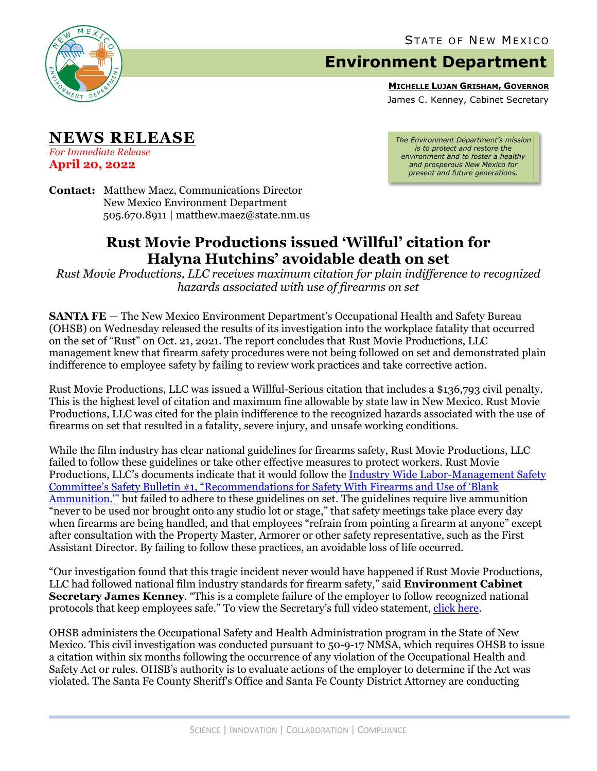

## **Environment Department**

**MICHELLE LUJAN GRISHAM, GOVERNOR**

James C. Kenney, Cabinet Secretary

**NEWS RELEASE**

*For Immediate Release* **April 20, 2022**

*The Environment Department's mission is to protect and restore the environment and to foster a healthy and prosperous New Mexico for present and future generations.*

**Contact:** Matthew Maez, Communications Director New Mexico Environment Department 505.670.8911 | matthew.maez@state.nm.us

## **Rust Movie Productions issued 'Willful' citation for Halyna Hutchins' avoidable death on set**

*Rust Movie Productions, LLC receives maximum citation for plain indifference to recognized hazards associated with use of firearms on set*

**SANTA FE** – The New Mexico Environment Department's Occupational Health and Safety Bureau (OHSB) on Wednesday released the results of its investigation into the workplace fatality that occurred on the set of "Rust" on Oct. 21, 2021. The report concludes that Rust Movie Productions, LLC management knew that firearm safety procedures were not being followed on set and demonstrated plain indifference to employee safety by failing to review work practices and take corrective action.

Rust Movie Productions, LLC was issued a Willful-Serious citation that includes a \$136,793 civil penalty. This is the highest level of citation and maximum fine allowable by state law in New Mexico. Rust Movie Productions, LLC was cited for the plain indifference to the recognized hazards associated with the use of firearms on set that resulted in a fatality, severe injury, and unsafe working conditions.

While the film industry has clear national guidelines for firearms safety, Rust Movie Productions, LLC failed to follow these guidelines or take other effective measures to protect workers. Rust Movie Productions, LLC's documents indicate that it would follow the [Industry Wide Labor-Management Safety](https://www.csatf.org/wp-content/uploads/2018/05/01FIREARMS.pdf)  [Committee's Safety Bulletin #1, "Recommendations for Safety With](https://www.csatf.org/wp-content/uploads/2018/05/01FIREARMS.pdf) Firearms and Use of 'Blank [Ammunition.'"](https://www.csatf.org/wp-content/uploads/2018/05/01FIREARMS.pdf) but failed to adhere to these guidelines on set. The guidelines require live ammunition "never to be used nor brought onto any studio lot or stage," that safety meetings take place every day when firearms are being handled, and that employees "refrain from pointing a firearm at anyone" except after consultation with the Property Master, Armorer or other safety representative, such as the First Assistant Director. By failing to follow these practices, an avoidable loss of life occurred.

"Our investigation found that this tragic incident never would have happened if Rust Movie Productions, LLC had followed national film industry standards for firearm safety," said **Environment Cabinet Secretary James Kenney**. "This is a complete failure of the employer to follow recognized national protocols that keep employees safe." To view the Secretary's full video statement, [click here.](https://youtu.be/J3FcqVOME6s)

OHSB administers the Occupational Safety and Health Administration program in the State of New Mexico. This civil investigation was conducted pursuant to 50-9-17 NMSA, which requires OHSB to issue a citation within six months following the occurrence of any violation of the Occupational Health and Safety Act or rules. OHSB's authority is to evaluate actions of the employer to determine if the Act was violated. The Santa Fe County Sheriff's Office and Santa Fe County District Attorney are conducting